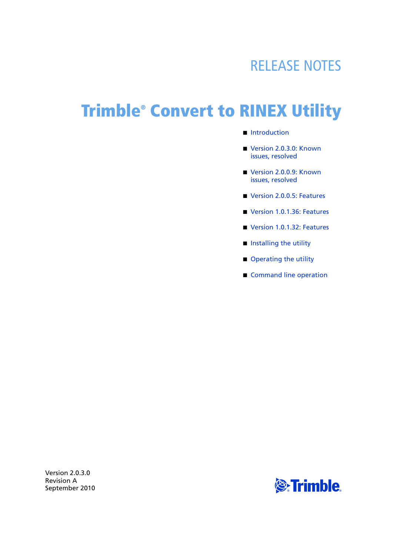## RELEASE NOTES

# **Trimble® Convert to RINEX Utility**

- [Introduction](#page-2-0)
- Version 2.0.3.0: Known [issues, resolved](#page-2-2)
- Version 2.0.0.9: Known [issues, resolved](#page-2-3)
- [Version 2.0.0.5: Features](#page-2-1)
- [Version 1.0.1.36: Features](#page-3-0)
- [Version 1.0.1.32: Features](#page-3-1)
- $\blacksquare$  [Installing the utility](#page-4-0)
- [Operating the utility](#page-4-1)
- [Command line operation](#page-7-0)

Version 2.0.3.0 Revision A

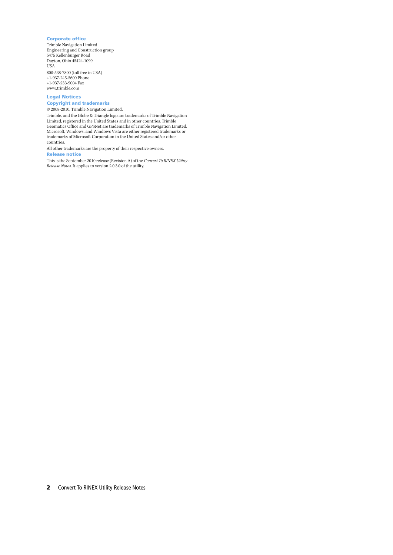#### **Corporate office**

Trimble Navigation Limited Engineering and Construction group 5475 Kellenburger Road Dayton, Ohio 45424-1099 USA 800-538-7800 (toll free in USA) +1-937-245-5600 Phone +1-937-233-9004 Fax www.trimble.com

#### **Legal Notices**

**Copyright and trademarks** © 2008-2010, Trimble Navigation Limited.

Trimble, and the Globe & Triangle logo are trademarks of Trimble Navigation Limited, registered in the United States and in other countries. Trimble Geomatics Office and GPSNet are trademarks of Trimble Navigation Limited. Microsoft, Windows, and Windows Vista are either registered trademarks or trademarks of Microsoft Corporation in the United States and/or other countries.

All other trademarks are the property of their respective owners. **Release notice**

This is the September 2010 release (Revision A) of the *Convert To RINEX Utility Release Notes*. It applies to version 2.0.3.0 of the utility.

**2** Convert To RINEX Utility Release Notes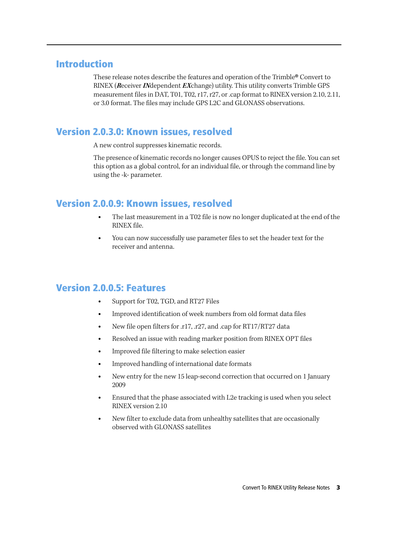#### <span id="page-2-0"></span>**Introduction**

These release notes describe the features and operation of the Trimble® Convert to RINEX (**R**eceiver **IN**dependent **EX**change) utility. This utility converts Trimble GPS measurement files in DAT, T01, T02, r17, r27, or .cap format to RINEX version 2.10, 2.11, or 3.0 format. The files may include GPS L2C and GLONASS observations.

#### <span id="page-2-2"></span>**Version 2.0.3.0: Known issues, resolved**

A new control suppresses kinematic records.

The presence of kinematic records no longer causes OPUS to reject the file. You can set this option as a global control, for an individual file, or through the command line by using the -k- parameter.

#### <span id="page-2-3"></span>**Version 2.0.0.9: Known issues, resolved**

- The last measurement in a T02 file is now no longer duplicated at the end of the RINEX file.
- You can now successfully use parameter files to set the header text for the receiver and antenna.

#### <span id="page-2-1"></span>**Version 2.0.0.5: Features**

- Support for T02, TGD, and RT27 Files
- Improved identification of week numbers from old format data files
- New file open filters for .r17, .r27, and .cap for RT17/RT27 data
- Resolved an issue with reading marker position from RINEX OPT files
- Improved file filtering to make selection easier
- Improved handling of international date formats
- New entry for the new 15 leap-second correction that occurred on 1 January 2009
- Ensured that the phase associated with L2e tracking is used when you select RINEX version 2.10
- New filter to exclude data from unhealthy satellites that are occasionally observed with GLONASS satellites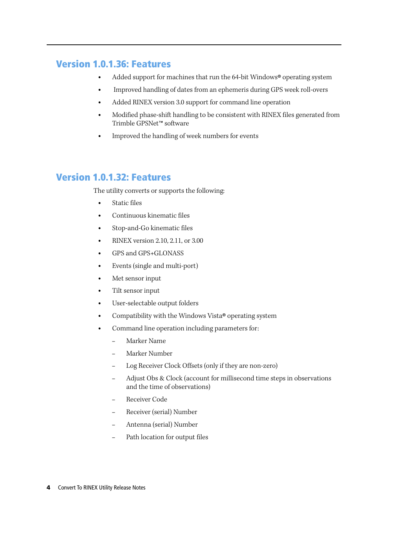### <span id="page-3-0"></span>**Version 1.0.1.36: Features**

- Added support for machines that run the 64-bit Windows® operating system
- Improved handling of dates from an ephemeris during GPS week roll-overs
- Added RINEX version 3.0 support for command line operation
- Modified phase-shift handling to be consistent with RINEX files generated from Trimble GPSNet™ software
- Improved the handling of week numbers for events

### <span id="page-3-1"></span>**Version 1.0.1.32: Features**

The utility converts or supports the following:

- Static files
- Continuous kinematic files
- Stop-and-Go kinematic files
- RINEX version 2.10, 2.11, or 3.00
- GPS and GPS+GLONASS
- Events (single and multi-port)
- Met sensor input
- Tilt sensor input
- User-selectable output folders
- Compatibility with the Windows Vista® operating system
- Command line operation including parameters for:
	- Marker Name
	- Marker Number
	- Log Receiver Clock Offsets (only if they are non-zero)
	- Adjust Obs & Clock (account for millisecond time steps in observations and the time of observations)
	- Receiver Code
	- Receiver (serial) Number
	- Antenna (serial) Number
	- Path location for output files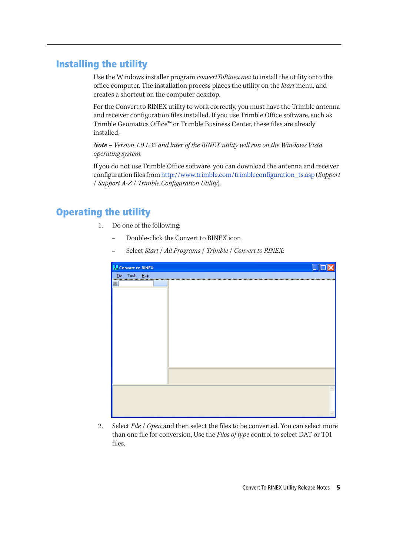#### <span id="page-4-0"></span>**Installing the utility**

Use the Windows installer program *convertToRinex.msi* to install the utility onto the office computer. The installation process places the utility on the *Start* menu, and creates a shortcut on the computer desktop.

For the Convert to RINEX utility to work correctly, you must have the Trimble antenna and receiver configuration files installed. If you use Trimble Office software, such as Trimble Geomatics Office™ or Trimble Business Center, these files are already installed.

**Note –** *Version 1.0.1.32 and later of the RINEX utility will run on the Windows Vista operating system.*

If you do not use Trimble Office software, you can download the antenna and receiver configuration files from http://www.trimble.com/trimbleconfiguration\_ts.asp (*Support* / *Support A-Z* / *Trimble Configuration Utility*).

## <span id="page-4-1"></span>**Operating the utility**

- 1. Do one of the following:
	- Double-click the Convert to RINEX icon
	- Select *Start* / *All Programs* / *Trimble* / *Convert to RINEX*:

| <b>M</b> Convert to RINEX |  |  |  |                                           |  |
|---------------------------|--|--|--|-------------------------------------------|--|
|                           |  |  |  | Eile Tools Help <b>Eile Linder (1986)</b> |  |
| 圖                         |  |  |  |                                           |  |
|                           |  |  |  |                                           |  |
|                           |  |  |  |                                           |  |
|                           |  |  |  |                                           |  |
|                           |  |  |  |                                           |  |
|                           |  |  |  |                                           |  |
|                           |  |  |  |                                           |  |
|                           |  |  |  |                                           |  |
|                           |  |  |  |                                           |  |
|                           |  |  |  |                                           |  |
|                           |  |  |  |                                           |  |
|                           |  |  |  |                                           |  |
|                           |  |  |  |                                           |  |
|                           |  |  |  |                                           |  |
|                           |  |  |  |                                           |  |
|                           |  |  |  |                                           |  |
|                           |  |  |  |                                           |  |
|                           |  |  |  |                                           |  |

2. Select *File* / *Open* and then select the files to be converted. You can select more than one file for conversion. Use the *Files of type* control to select DAT or T01 files.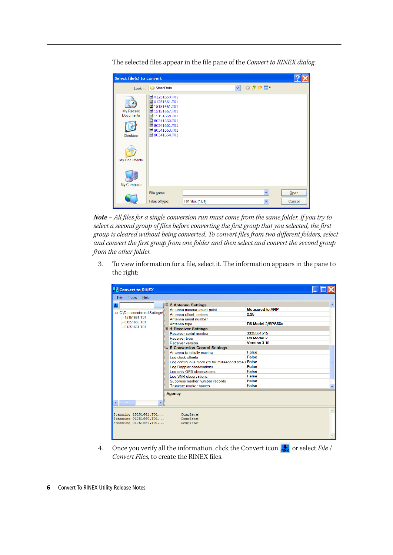

The selected files appear in the file pane of the *Convert to RINEX dialog*:

**Note –** *All files for a single conversion run must come from the same folder. If you try to select a second group of files before converting the first group that you selected, the first group is cleared without being converted. To convert files from two different folders, select and convert the first group from one folder and then select and convert the second group from the other folder.*

3. To view information for a file, select it. The information appears in the pane to the right:

|                                     |   |                                                        |                        | ۸ |
|-------------------------------------|---|--------------------------------------------------------|------------------------|---|
| H.                                  |   | $\boxdot$ 3 Antenna Settings                           | <b>Measured to ARP</b> |   |
| <b>E</b> C:\Documents and Settings\ |   | Antenna measurement point<br>Antenna offset, meters    | 2.25                   |   |
| 15151661.T01                        |   | Antenna serial number                                  |                        |   |
| 01251660 T01                        |   | Antenna type                                           | R8 Model 2/SPS88x      |   |
| 01251661.T01                        |   | □ 4 Receiver Settings                                  |                        |   |
|                                     |   | Receiver serial number                                 | 3335551515             |   |
|                                     |   | Receiver type                                          | R8 Model 2             |   |
|                                     |   | Receiver version                                       | Version 3.10           |   |
|                                     |   | □ 5 Conversion Control Settings                        |                        |   |
|                                     |   | Antenna is initially moving                            | <b>False</b>           |   |
|                                     |   | Log clock offsets                                      | <b>False</b>           |   |
|                                     |   | Log continuous clock (fix for millisecond time : False |                        |   |
|                                     |   | <b>Log Doppler observations</b>                        | <b>False</b>           |   |
|                                     |   | Log only GPS observations                              | False                  |   |
|                                     |   | Log SNR observations                                   | <b>False</b>           |   |
|                                     |   | Suppress marker number records                         | <b>False</b>           |   |
|                                     |   | <b>Truncate marker names</b>                           | <b>False</b>           |   |
|                                     |   |                                                        |                        |   |
|                                     |   | <b>Agency</b>                                          |                        |   |
|                                     |   |                                                        |                        |   |
| $\blacksquare$                      | I |                                                        |                        |   |
|                                     |   |                                                        |                        |   |
| Scanning 15151661.T01               |   | Complete!                                              |                        |   |
| Scanning 01251660.T01               |   | Complete!                                              |                        |   |
| Scanning 01251661.T01               |   | Complete!                                              |                        |   |
|                                     |   |                                                        |                        |   |
|                                     |   |                                                        |                        |   |

4. Once you verify all the information, click the Convert icon  $\frac{1}{100}$  or select *File* / *Convert Files,* to create the RINEX files.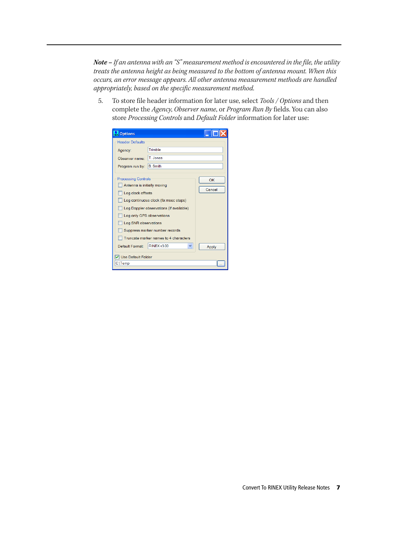**Note –** *If an antenna with an "S" measurement method is encountered in the file, the utility treats the antenna height as being measured to the bottom of antenna mount. When this occurs, an error message appears. All other antenna measurement methods are handled appropriately, based on the specific measurement method.*

5. To store file header information for later use, select *Tools / Options* and then complete the *Agency*, *Observer name*, or *Program Run By* fields. You can also store *Processing Controls* and *Default Folder* information for later use:

| <b>No</b> Options                                         |                         |              |  |  |  |
|-----------------------------------------------------------|-------------------------|--------------|--|--|--|
| <b>Header Defaults</b>                                    |                         |              |  |  |  |
| Agency:                                                   | Trimble                 |              |  |  |  |
| Observer name:                                            | T Jones                 |              |  |  |  |
| Program run by:                                           | <b>B.</b> Smith         |              |  |  |  |
|                                                           |                         |              |  |  |  |
| <b>Processing Controls</b><br>Antenna is initially moving | OK                      |              |  |  |  |
| Log clock offsets                                         | Cancel                  |              |  |  |  |
| Log continuous clock (fix msec steps)                     |                         |              |  |  |  |
| Log Doppler observations (if available)                   |                         |              |  |  |  |
| Log only GPS observations                                 |                         |              |  |  |  |
| Log SNR observations                                      |                         |              |  |  |  |
| Suppress marker number records                            |                         |              |  |  |  |
| Truncate marker names to 4 characters                     |                         |              |  |  |  |
| Default Format:                                           | <b>RINEX v3.00</b><br>v | <b>Apply</b> |  |  |  |
| ▼ Use Default Folder                                      |                         |              |  |  |  |
| C:\Temp                                                   |                         |              |  |  |  |
|                                                           |                         |              |  |  |  |

Convert To RINEX Utility Release Notes **7**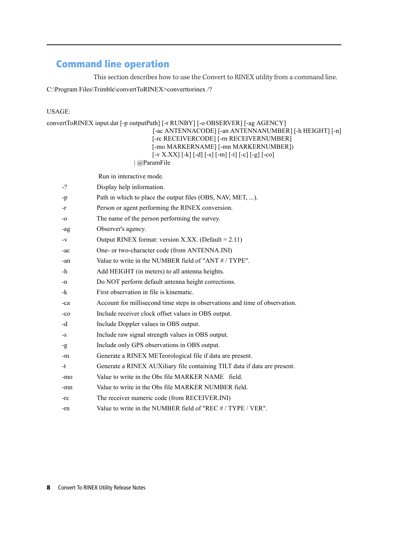## <span id="page-7-0"></span>**Command line operation**

This section describes how to use the Convert to RINEX utility from a command line.

C:\Program Files\Trimble\convertToRINEX>converttorinex /?

#### USAGE:

|       | $[-v X. XX] [-k] [-d] [-s] [-m] [-t] [-c] [-g] [-co]$<br>@ParamFile<br>Run in interactive mode. |
|-------|-------------------------------------------------------------------------------------------------|
| $-2$  | Display help information.                                                                       |
| -p    | Path in which to place the output files (OBS, NAV, MET, ).                                      |
| -r    | Person or agent performing the RINEX conversion.                                                |
| $-0$  | The name of the person performing the survey.                                                   |
| -ag   | Observer's agency.                                                                              |
| $-V$  | Output RINEX format: version X.XX. (Default = 2.11)                                             |
| -ac   | One- or two-character code (from ANTENNA.INI)                                                   |
| -an   | Value to write in the NUMBER field of "ANT #/TYPE".                                             |
| -h    | Add HEIGHT (in meters) to all antenna heights.                                                  |
| -n    | Do NOT perform default antenna height corrections.                                              |
| $-k$  | First observation in file is kinematic.                                                         |
| -ca   | Account for millisecond time steps in observations and time of observation.                     |
| $-co$ | Include receiver clock offset values in OBS output.                                             |
| -d    | Include Doppler values in OBS output.                                                           |
| $-S$  | Include raw signal strength values in OBS output.                                               |
| $-9$  | Include only GPS observations in OBS output.                                                    |
| -m    | Generate a RINEX METeorological file if data are present.                                       |
| -t    | Generate a RINEX AUXiliary file containing TILT data if data are present.                       |
| -mo   | Value to write in the Obs file MARKER NAME field.                                               |
| -mn   | Value to write in the Obs file MARKER NUMBER field.                                             |
| -rc   | The receiver numeric code (from RECEIVER.INI)                                                   |
| -rn   | Value to write in the NUMBER field of "REC # / TYPE / VER".                                     |
|       |                                                                                                 |